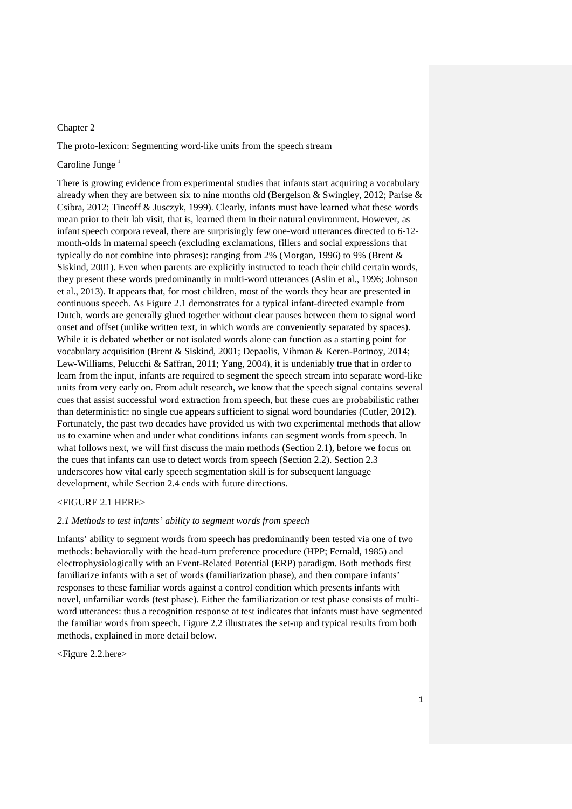## Chapter 2

The proto-lexicon: Segmenting word-like units from the speech stream

# Carol[i](#page-12-0)ne Junge<sup>1</sup>

There is growing evidence from experimental studies that infants start acquiring a vocabulary already when they are between six to nine months old (Bergelson & Swingley, 2012; Parise & Csibra, 2012; Tincoff & Jusczyk, 1999). Clearly, infants must have learned what these words mean prior to their lab visit, that is, learned them in their natural environment. However, as infant speech corpora reveal, there are surprisingly few one-word utterances directed to 6-12 month-olds in maternal speech (excluding exclamations, fillers and social expressions that typically do not combine into phrases): ranging from 2% (Morgan, 1996) to 9% (Brent & Siskind, 2001). Even when parents are explicitly instructed to teach their child certain words, they present these words predominantly in multi-word utterances (Aslin et al., 1996; Johnson et al., 2013). It appears that, for most children, most of the words they hear are presented in continuous speech. As Figure 2.1 demonstrates for a typical infant-directed example from Dutch, words are generally glued together without clear pauses between them to signal word onset and offset (unlike written text, in which words are conveniently separated by spaces). While it is debated whether or not isolated words alone can function as a starting point for vocabulary acquisition (Brent & Siskind, 2001; Depaolis, Vihman & Keren-Portnoy, 2014; Lew‐Williams, Pelucchi & Saffran, 2011; Yang, 2004), it is undeniably true that in order to learn from the input, infants are required to segment the speech stream into separate word-like units from very early on. From adult research, we know that the speech signal contains several cues that assist successful word extraction from speech, but these cues are probabilistic rather than deterministic: no single cue appears sufficient to signal word boundaries (Cutler, 2012). Fortunately, the past two decades have provided us with two experimental methods that allow us to examine when and under what conditions infants can segment words from speech. In what follows next, we will first discuss the main methods (Section 2.1), before we focus on the cues that infants can use to detect words from speech (Section 2.2). Section 2.3 underscores how vital early speech segmentation skill is for subsequent language development, while Section 2.4 ends with future directions.

### <FIGURE 2.1 HERE>

# *2.1 Methods to test infants' ability to segment words from speech*

Infants' ability to segment words from speech has predominantly been tested via one of two methods: behaviorally with the head-turn preference procedure (HPP; Fernald, 1985) and electrophysiologically with an Event-Related Potential (ERP) paradigm. Both methods first familiarize infants with a set of words (familiarization phase), and then compare infants' responses to these familiar words against a control condition which presents infants with novel, unfamiliar words (test phase). Either the familiarization or test phase consists of multiword utterances: thus a recognition response at test indicates that infants must have segmented the familiar words from speech. Figure 2.2 illustrates the set-up and typical results from both methods, explained in more detail below.

<Figure 2.2.here>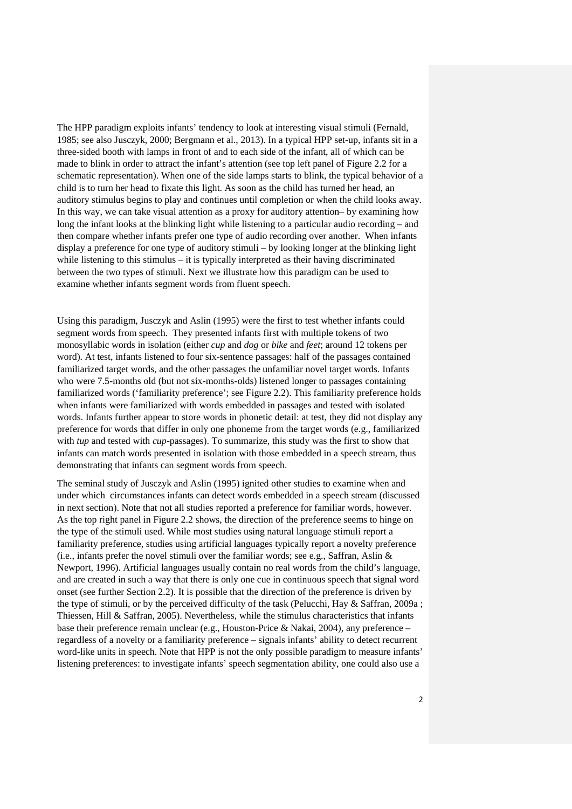The HPP paradigm exploits infants' tendency to look at interesting visual stimuli (Fernald, 1985; see also Jusczyk, 2000; Bergmann et al., 2013). In a typical HPP set-up, infants sit in a three-sided booth with lamps in front of and to each side of the infant, all of which can be made to blink in order to attract the infant's attention (see top left panel of Figure 2.2 for a schematic representation). When one of the side lamps starts to blink, the typical behavior of a child is to turn her head to fixate this light. As soon as the child has turned her head, an auditory stimulus begins to play and continues until completion or when the child looks away. In this way, we can take visual attention as a proxy for auditory attention– by examining how long the infant looks at the blinking light while listening to a particular audio recording – and then compare whether infants prefer one type of audio recording over another. When infants display a preference for one type of auditory stimuli – by looking longer at the blinking light while listening to this stimulus – it is typically interpreted as their having discriminated between the two types of stimuli. Next we illustrate how this paradigm can be used to examine whether infants segment words from fluent speech.

Using this paradigm, Jusczyk and Aslin (1995) were the first to test whether infants could segment words from speech. They presented infants first with multiple tokens of two monosyllabic words in isolation (either *cup* and *dog* or *bike* and *feet*; around 12 tokens per word). At test, infants listened to four six-sentence passages: half of the passages contained familiarized target words, and the other passages the unfamiliar novel target words. Infants who were 7.5-months old (but not six-months-olds) listened longer to passages containing familiarized words ('familiarity preference'; see Figure 2.2). This familiarity preference holds when infants were familiarized with words embedded in passages and tested with isolated words. Infants further appear to store words in phonetic detail: at test, they did not display any preference for words that differ in only one phoneme from the target words (e.g., familiarized with *tup* and tested with *cup*-passages). To summarize, this study was the first to show that infants can match words presented in isolation with those embedded in a speech stream, thus demonstrating that infants can segment words from speech.

The seminal study of Jusczyk and Aslin (1995) ignited other studies to examine when and under which circumstances infants can detect words embedded in a speech stream (discussed in next section). Note that not all studies reported a preference for familiar words, however. As the top right panel in Figure 2.2 shows, the direction of the preference seems to hinge on the type of the stimuli used. While most studies using natural language stimuli report a familiarity preference, studies using artificial languages typically report a novelty preference (i.e., infants prefer the novel stimuli over the familiar words; see e.g., Saffran, Aslin & Newport, 1996). Artificial languages usually contain no real words from the child's language, and are created in such a way that there is only one cue in continuous speech that signal word onset (see further Section 2.2). It is possible that the direction of the preference is driven by the type of stimuli, or by the perceived difficulty of the task (Pelucchi, Hay  $\&$  Saffran, 2009a; Thiessen, Hill & Saffran, 2005). Nevertheless, while the stimulus characteristics that infants base their preference remain unclear (e.g., Houston-Price & Nakai, 2004), any preference – regardless of a novelty or a familiarity preference – signals infants' ability to detect recurrent word-like units in speech. Note that HPP is not the only possible paradigm to measure infants' listening preferences: to investigate infants' speech segmentation ability, one could also use a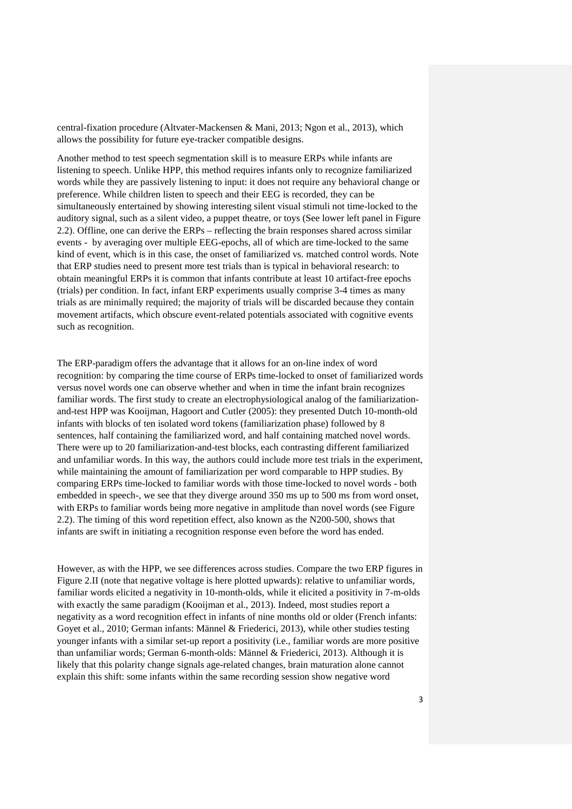central-fixation procedure (Altvater-Mackensen & Mani, 2013; Ngon et al., 2013), which allows the possibility for future eye-tracker compatible designs.

Another method to test speech segmentation skill is to measure ERPs while infants are listening to speech. Unlike HPP, this method requires infants only to recognize familiarized words while they are passively listening to input: it does not require any behavioral change or preference. While children listen to speech and their EEG is recorded, they can be simultaneously entertained by showing interesting silent visual stimuli not time-locked to the auditory signal, such as a silent video, a puppet theatre, or toys (See lower left panel in Figure 2.2). Offline, one can derive the ERPs – reflecting the brain responses shared across similar events - by averaging over multiple EEG-epochs, all of which are time-locked to the same kind of event, which is in this case, the onset of familiarized vs. matched control words. Note that ERP studies need to present more test trials than is typical in behavioral research: to obtain meaningful ERPs it is common that infants contribute at least 10 artifact-free epochs (trials) per condition. In fact, infant ERP experiments usually comprise 3-4 times as many trials as are minimally required; the majority of trials will be discarded because they contain movement artifacts, which obscure event-related potentials associated with cognitive events such as recognition.

The ERP-paradigm offers the advantage that it allows for an on-line index of word recognition: by comparing the time course of ERPs time-locked to onset of familiarized words versus novel words one can observe whether and when in time the infant brain recognizes familiar words. The first study to create an electrophysiological analog of the familiarizationand-test HPP was Kooijman, Hagoort and Cutler (2005): they presented Dutch 10-month-old infants with blocks of ten isolated word tokens (familiarization phase) followed by 8 sentences, half containing the familiarized word, and half containing matched novel words. There were up to 20 familiarization-and-test blocks, each contrasting different familiarized and unfamiliar words. In this way, the authors could include more test trials in the experiment, while maintaining the amount of familiarization per word comparable to HPP studies. By comparing ERPs time-locked to familiar words with those time-locked to novel words - both embedded in speech-, we see that they diverge around 350 ms up to 500 ms from word onset, with ERPs to familiar words being more negative in amplitude than novel words (see Figure 2.2). The timing of this word repetition effect, also known as the N200-500, shows that infants are swift in initiating a recognition response even before the word has ended.

However, as with the HPP, we see differences across studies. Compare the two ERP figures in Figure 2.II (note that negative voltage is here plotted upwards): relative to unfamiliar words, familiar words elicited a negativity in 10-month-olds, while it elicited a positivity in 7-m-olds with exactly the same paradigm (Kooijman et al., 2013). Indeed, most studies report a negativity as a word recognition effect in infants of nine months old or older (French infants: Goyet et al., 2010; German infants: Männel & Friederici, 2013), while other studies testing younger infants with a similar set-up report a positivity (i.e., familiar words are more positive than unfamiliar words; German 6-month-olds: Männel & Friederici, 2013). Although it is likely that this polarity change signals age-related changes, brain maturation alone cannot explain this shift: some infants within the same recording session show negative word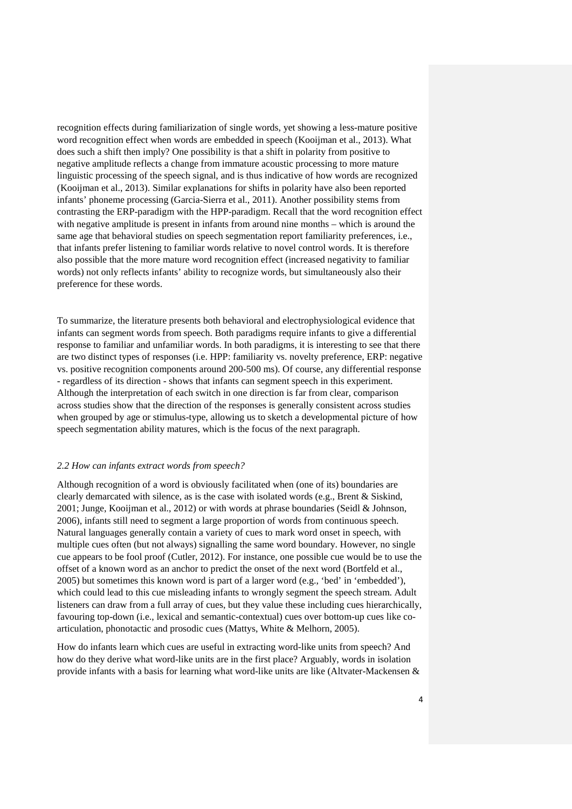recognition effects during familiarization of single words, yet showing a less-mature positive word recognition effect when words are embedded in speech (Kooijman et al., 2013). What does such a shift then imply? One possibility is that a shift in polarity from positive to negative amplitude reflects a change from immature acoustic processing to more mature linguistic processing of the speech signal, and is thus indicative of how words are recognized (Kooijman et al., 2013). Similar explanations for shifts in polarity have also been reported infants' phoneme processing (Garcia-Sierra et al., 2011). Another possibility stems from contrasting the ERP-paradigm with the HPP-paradigm. Recall that the word recognition effect with negative amplitude is present in infants from around nine months – which is around the same age that behavioral studies on speech segmentation report familiarity preferences, i.e., that infants prefer listening to familiar words relative to novel control words. It is therefore also possible that the more mature word recognition effect (increased negativity to familiar words) not only reflects infants' ability to recognize words, but simultaneously also their preference for these words.

To summarize, the literature presents both behavioral and electrophysiological evidence that infants can segment words from speech. Both paradigms require infants to give a differential response to familiar and unfamiliar words. In both paradigms, it is interesting to see that there are two distinct types of responses (i.e. HPP: familiarity vs. novelty preference, ERP: negative vs. positive recognition components around 200-500 ms). Of course, any differential response - regardless of its direction - shows that infants can segment speech in this experiment. Although the interpretation of each switch in one direction is far from clear, comparison across studies show that the direction of the responses is generally consistent across studies when grouped by age or stimulus-type, allowing us to sketch a developmental picture of how speech segmentation ability matures, which is the focus of the next paragraph.

#### *2.2 How can infants extract words from speech?*

Although recognition of a word is obviously facilitated when (one of its) boundaries are clearly demarcated with silence, as is the case with isolated words (e.g., Brent & Siskind, 2001; Junge, Kooijman et al., 2012) or with words at phrase boundaries (Seidl & Johnson, 2006), infants still need to segment a large proportion of words from continuous speech. Natural languages generally contain a variety of cues to mark word onset in speech, with multiple cues often (but not always) signalling the same word boundary. However, no single cue appears to be fool proof (Cutler, 2012). For instance, one possible cue would be to use the offset of a known word as an anchor to predict the onset of the next word (Bortfeld et al., 2005) but sometimes this known word is part of a larger word (e.g., 'bed' in 'embedded'), which could lead to this cue misleading infants to wrongly segment the speech stream. Adult listeners can draw from a full array of cues, but they value these including cues hierarchically, favouring top-down (i.e., lexical and semantic-contextual) cues over bottom-up cues like coarticulation, phonotactic and prosodic cues (Mattys, White & Melhorn, 2005).

How do infants learn which cues are useful in extracting word-like units from speech? And how do they derive what word-like units are in the first place? Arguably, words in isolation provide infants with a basis for learning what word-like units are like (Altvater-Mackensen &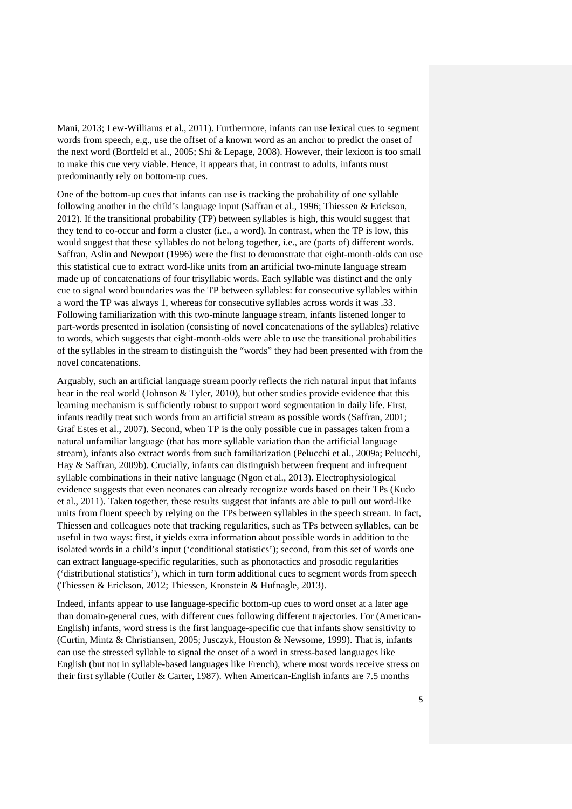Mani, 2013; Lew‐Williams et al., 2011). Furthermore, infants can use lexical cues to segment words from speech, e.g., use the offset of a known word as an anchor to predict the onset of the next word (Bortfeld et al., 2005; Shi & Lepage, 2008). However, their lexicon is too small to make this cue very viable. Hence, it appears that, in contrast to adults, infants must predominantly rely on bottom-up cues.

One of the bottom-up cues that infants can use is tracking the probability of one syllable following another in the child's language input (Saffran et al., 1996; Thiessen & Erickson, 2012). If the transitional probability (TP) between syllables is high, this would suggest that they tend to co-occur and form a cluster (i.e., a word). In contrast, when the TP is low, this would suggest that these syllables do not belong together, i.e., are (parts of) different words. Saffran, Aslin and Newport (1996) were the first to demonstrate that eight-month-olds can use this statistical cue to extract word-like units from an artificial two-minute language stream made up of concatenations of four trisyllabic words. Each syllable was distinct and the only cue to signal word boundaries was the TP between syllables: for consecutive syllables within a word the TP was always 1, whereas for consecutive syllables across words it was .33. Following familiarization with this two-minute language stream, infants listened longer to part-words presented in isolation (consisting of novel concatenations of the syllables) relative to words, which suggests that eight-month-olds were able to use the transitional probabilities of the syllables in the stream to distinguish the "words" they had been presented with from the novel concatenations.

Arguably, such an artificial language stream poorly reflects the rich natural input that infants hear in the real world (Johnson & Tyler, 2010), but other studies provide evidence that this learning mechanism is sufficiently robust to support word segmentation in daily life. First, infants readily treat such words from an artificial stream as possible words (Saffran, 2001; Graf Estes et al., 2007). Second, when TP is the only possible cue in passages taken from a natural unfamiliar language (that has more syllable variation than the artificial language stream), infants also extract words from such familiarization (Pelucchi et al., 2009a; Pelucchi, Hay & Saffran, 2009b). Crucially, infants can distinguish between frequent and infrequent syllable combinations in their native language (Ngon et al., 2013). Electrophysiological evidence suggests that even neonates can already recognize words based on their TPs (Kudo et al., 2011). Taken together, these results suggest that infants are able to pull out word-like units from fluent speech by relying on the TPs between syllables in the speech stream. In fact, Thiessen and colleagues note that tracking regularities, such as TPs between syllables, can be useful in two ways: first, it yields extra information about possible words in addition to the isolated words in a child's input ('conditional statistics'); second, from this set of words one can extract language-specific regularities, such as phonotactics and prosodic regularities ('distributional statistics'), which in turn form additional cues to segment words from speech (Thiessen & Erickson, 2012; Thiessen, Kronstein & Hufnagle, 2013).

Indeed, infants appear to use language-specific bottom-up cues to word onset at a later age than domain-general cues, with different cues following different trajectories. For (American-English) infants, word stress is the first language-specific cue that infants show sensitivity to (Curtin, Mintz & Christiansen, 2005; Jusczyk, Houston & Newsome, 1999). That is, infants can use the stressed syllable to signal the onset of a word in stress-based languages like English (but not in syllable-based languages like French), where most words receive stress on their first syllable (Cutler & Carter, 1987). When American-English infants are 7.5 months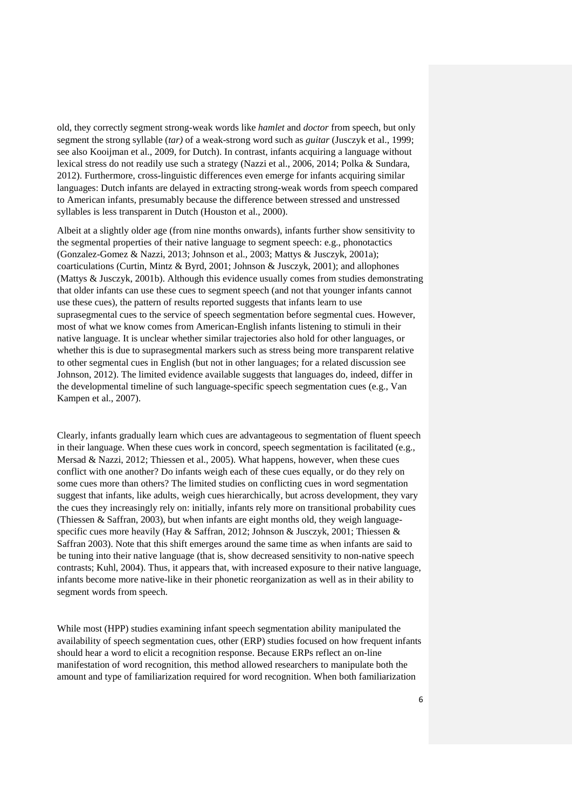old, they correctly segment strong-weak words like *hamlet* and *doctor* from speech, but only segment the strong syllable (*tar)* of a weak-strong word such as *guitar* (Jusczyk et al., 1999; see also Kooijman et al., 2009, for Dutch). In contrast, infants acquiring a language without lexical stress do not readily use such a strategy (Nazzi et al., 2006, 2014; Polka & Sundara, 2012). Furthermore, cross-linguistic differences even emerge for infants acquiring similar languages: Dutch infants are delayed in extracting strong-weak words from speech compared to American infants, presumably because the difference between stressed and unstressed syllables is less transparent in Dutch (Houston et al., 2000).

Albeit at a slightly older age (from nine months onwards), infants further show sensitivity to the segmental properties of their native language to segment speech: e.g., phonotactics (Gonzalez-Gomez & Nazzi, 2013; Johnson et al., 2003; Mattys & Jusczyk, 2001a); coarticulations (Curtin, Mintz & Byrd, 2001; Johnson & Jusczyk, 2001); and allophones (Mattys & Jusczyk, 2001b). Although this evidence usually comes from studies demonstrating that older infants can use these cues to segment speech (and not that younger infants cannot use these cues), the pattern of results reported suggests that infants learn to use suprasegmental cues to the service of speech segmentation before segmental cues. However, most of what we know comes from American-English infants listening to stimuli in their native language. It is unclear whether similar trajectories also hold for other languages, or whether this is due to suprasegmental markers such as stress being more transparent relative to other segmental cues in English (but not in other languages; for a related discussion see Johnson, 2012). The limited evidence available suggests that languages do, indeed, differ in the developmental timeline of such language-specific speech segmentation cues (e.g., Van Kampen et al., 2007).

Clearly, infants gradually learn which cues are advantageous to segmentation of fluent speech in their language. When these cues work in concord, speech segmentation is facilitated (e.g., Mersad & Nazzi, 2012; Thiessen et al., 2005). What happens, however, when these cues conflict with one another? Do infants weigh each of these cues equally, or do they rely on some cues more than others? The limited studies on conflicting cues in word segmentation suggest that infants, like adults, weigh cues hierarchically, but across development, they vary the cues they increasingly rely on: initially, infants rely more on transitional probability cues (Thiessen & Saffran, 2003), but when infants are eight months old, they weigh languagespecific cues more heavily (Hay & Saffran, 2012; Johnson & Jusczyk, 2001; Thiessen & Saffran 2003). Note that this shift emerges around the same time as when infants are said to be tuning into their native language (that is, show decreased sensitivity to non-native speech contrasts; Kuhl, 2004). Thus, it appears that, with increased exposure to their native language, infants become more native-like in their phonetic reorganization as well as in their ability to segment words from speech.

While most (HPP) studies examining infant speech segmentation ability manipulated the availability of speech segmentation cues, other (ERP) studies focused on how frequent infants should hear a word to elicit a recognition response. Because ERPs reflect an on-line manifestation of word recognition, this method allowed researchers to manipulate both the amount and type of familiarization required for word recognition. When both familiarization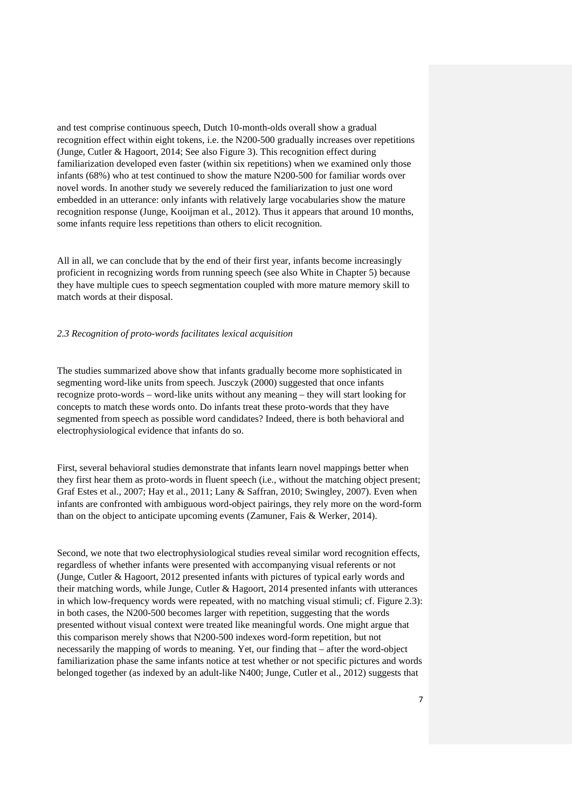and test comprise continuous speech, Dutch 10-month-olds overall show a gradual recognition effect within eight tokens, i.e. the N200-500 gradually increases over repetitions (Junge, Cutler & Hagoort, 2014; See also Figure 3). This recognition effect during familiarization developed even faster (within six repetitions) when we examined only those infants (68%) who at test continued to show the mature N200-500 for familiar words over novel words. In another study we severely reduced the familiarization to just one word embedded in an utterance: only infants with relatively large vocabularies show the mature recognition response (Junge, Kooijman et al., 2012). Thus it appears that around 10 months, some infants require less repetitions than others to elicit recognition.

All in all, we can conclude that by the end of their first year, infants become increasingly proficient in recognizing words from running speech (see also White in Chapter 5) because they have multiple cues to speech segmentation coupled with more mature memory skill to match words at their disposal.

# *2.3 Recognition of proto-words facilitates lexical acquisition*

The studies summarized above show that infants gradually become more sophisticated in segmenting word-like units from speech. Jusczyk (2000) suggested that once infants recognize proto-words – word-like units without any meaning – they will start looking for concepts to match these words onto. Do infants treat these proto-words that they have segmented from speech as possible word candidates? Indeed, there is both behavioral and electrophysiological evidence that infants do so.

First, several behavioral studies demonstrate that infants learn novel mappings better when they first hear them as proto-words in fluent speech (i.e., without the matching object present; Graf Estes et al., 2007; Hay et al., 2011; Lany & Saffran, 2010; Swingley, 2007). Even when infants are confronted with ambiguous word-object pairings, they rely more on the word-form than on the object to anticipate upcoming events (Zamuner, Fais & Werker, 2014).

Second, we note that two electrophysiological studies reveal similar word recognition effects, regardless of whether infants were presented with accompanying visual referents or not (Junge, Cutler & Hagoort, 2012 presented infants with pictures of typical early words and their matching words, while Junge, Cutler & Hagoort, 2014 presented infants with utterances in which low-frequency words were repeated, with no matching visual stimuli; cf. Figure 2.3): in both cases, the N200-500 becomes larger with repetition, suggesting that the words presented without visual context were treated like meaningful words. One might argue that this comparison merely shows that N200-500 indexes word-form repetition, but not necessarily the mapping of words to meaning. Yet, our finding that – after the word-object familiarization phase the same infants notice at test whether or not specific pictures and words belonged together (as indexed by an adult-like N400; Junge, Cutler et al., 2012) suggests that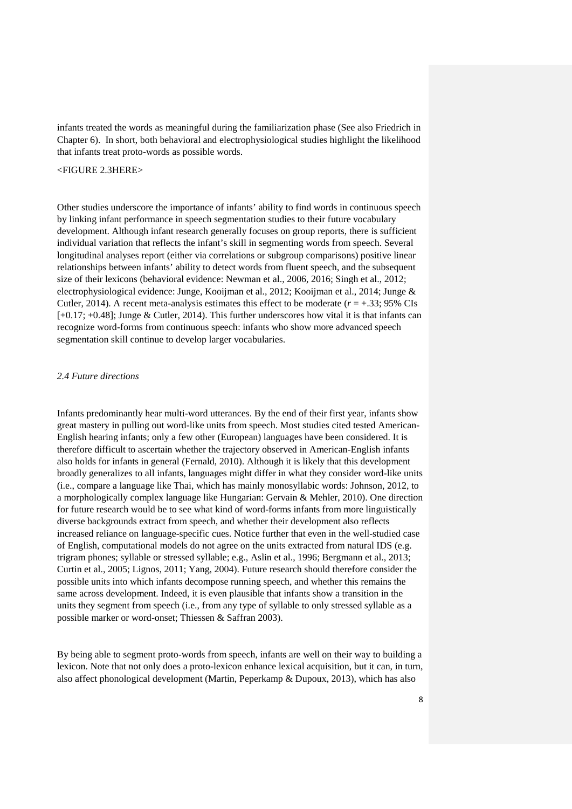infants treated the words as meaningful during the familiarization phase (See also Friedrich in Chapter 6). In short, both behavioral and electrophysiological studies highlight the likelihood that infants treat proto-words as possible words.

<FIGURE 2.3HERE>

Other studies underscore the importance of infants' ability to find words in continuous speech by linking infant performance in speech segmentation studies to their future vocabulary development. Although infant research generally focuses on group reports, there is sufficient individual variation that reflects the infant's skill in segmenting words from speech. Several longitudinal analyses report (either via correlations or subgroup comparisons) positive linear relationships between infants' ability to detect words from fluent speech, and the subsequent size of their lexicons (behavioral evidence: Newman et al., 2006, 2016; Singh et al., 2012; electrophysiological evidence: Junge, Kooijman et al., 2012; Kooijman et al., 2014; Junge & Cutler, 2014). A recent meta-analysis estimates this effect to be moderate  $(r = +0.33; 95\% \text{ CIs})$ [+0.17; +0.48]; Junge & Cutler, 2014). This further underscores how vital it is that infants can recognize word-forms from continuous speech: infants who show more advanced speech segmentation skill continue to develop larger vocabularies.

### *2.4 Future directions*

Infants predominantly hear multi-word utterances. By the end of their first year, infants show great mastery in pulling out word-like units from speech. Most studies cited tested American-English hearing infants; only a few other (European) languages have been considered. It is therefore difficult to ascertain whether the trajectory observed in American-English infants also holds for infants in general (Fernald, 2010). Although it is likely that this development broadly generalizes to all infants, languages might differ in what they consider word-like units (i.e., compare a language like Thai, which has mainly monosyllabic words: Johnson, 2012, to a morphologically complex language like Hungarian: Gervain & Mehler, 2010). One direction for future research would be to see what kind of word-forms infants from more linguistically diverse backgrounds extract from speech, and whether their development also reflects increased reliance on language-specific cues. Notice further that even in the well-studied case of English, computational models do not agree on the units extracted from natural IDS (e.g. trigram phones; syllable or stressed syllable; e.g., Aslin et al., 1996; Bergmann et al., 2013; Curtin et al., 2005; Lignos, 2011; Yang, 2004). Future research should therefore consider the possible units into which infants decompose running speech, and whether this remains the same across development. Indeed, it is even plausible that infants show a transition in the units they segment from speech (i.e., from any type of syllable to only stressed syllable as a possible marker or word-onset; Thiessen & Saffran 2003).

By being able to segment proto-words from speech, infants are well on their way to building a lexicon. Note that not only does a proto-lexicon enhance lexical acquisition, but it can, in turn, also affect phonological development (Martin, Peperkamp & Dupoux, 2013), which has also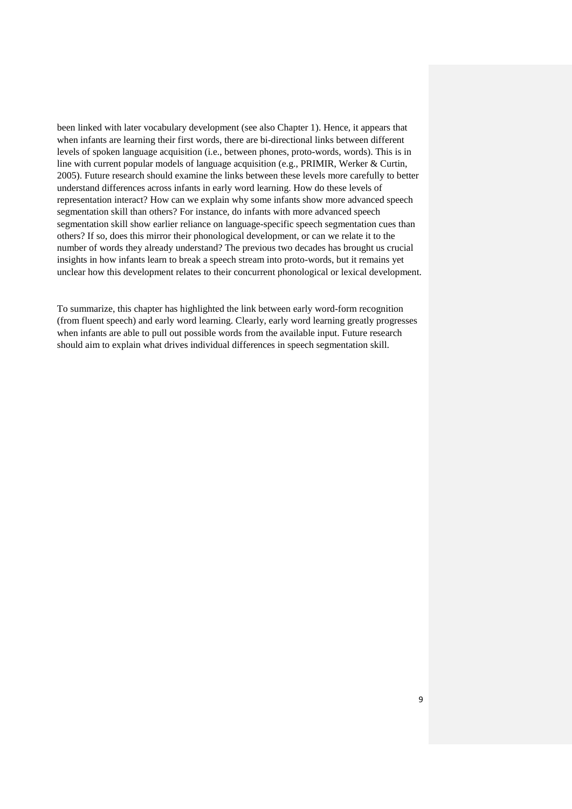been linked with later vocabulary development (see also Chapter 1). Hence, it appears that when infants are learning their first words, there are bi-directional links between different levels of spoken language acquisition (i.e., between phones, proto-words, words). This is in line with current popular models of language acquisition (e.g., PRIMIR, Werker & Curtin, 2005). Future research should examine the links between these levels more carefully to better understand differences across infants in early word learning. How do these levels of representation interact? How can we explain why some infants show more advanced speech segmentation skill than others? For instance, do infants with more advanced speech segmentation skill show earlier reliance on language-specific speech segmentation cues than others? If so, does this mirror their phonological development, or can we relate it to the number of words they already understand? The previous two decades has brought us crucial insights in how infants learn to break a speech stream into proto-words, but it remains yet unclear how this development relates to their concurrent phonological or lexical development.

To summarize, this chapter has highlighted the link between early word-form recognition (from fluent speech) and early word learning. Clearly, early word learning greatly progresses when infants are able to pull out possible words from the available input. Future research should aim to explain what drives individual differences in speech segmentation skill.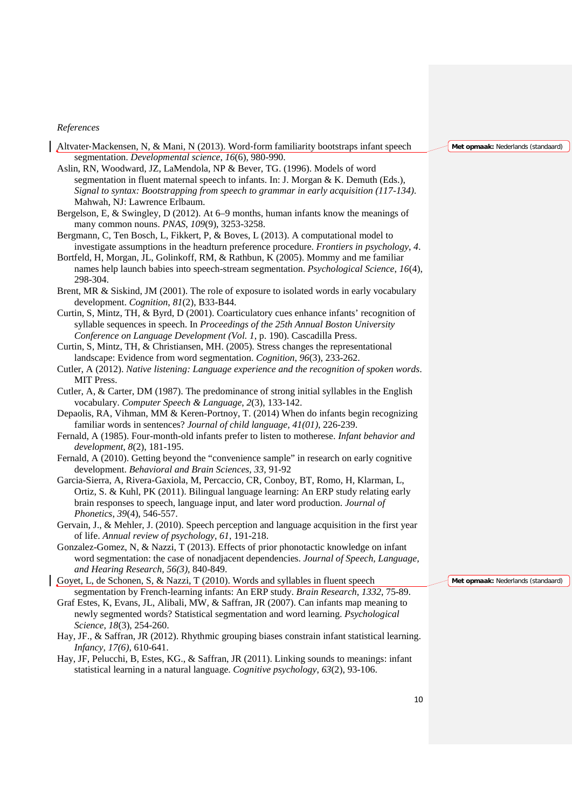#### *References*

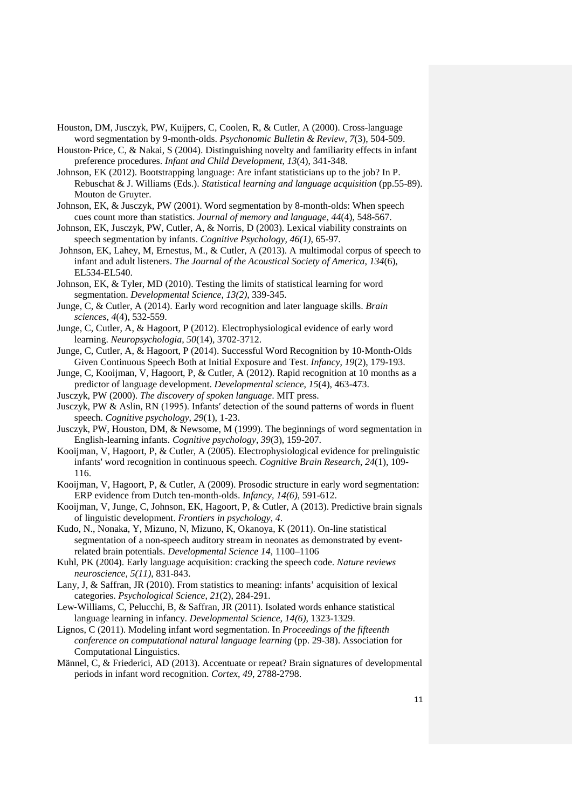- Houston, DM, Jusczyk, PW, Kuijpers, C, Coolen, R, & Cutler, A (2000). Cross-language word segmentation by 9-month-olds. *Psychonomic Bulletin & Review*, *7*(3), 504-509.
- Houston-Price, C, & Nakai, S (2004). Distinguishing novelty and familiarity effects in infant preference procedures. *Infant and Child Development*, *13*(4), 341-348.
- Johnson, EK (2012). Bootstrapping language: Are infant statisticians up to the job? In P. Rebuschat & J. Williams (Eds.). *Statistical learning and language acquisition* (pp.55-89). Mouton de Gruyter.
- Johnson, EK, & Jusczyk, PW (2001). Word segmentation by 8-month-olds: When speech cues count more than statistics. *Journal of memory and language*, *44*(4), 548-567.
- Johnson, EK, Jusczyk, PW, Cutler, A, & Norris, D (2003). Lexical viability constraints on speech segmentation by infants. *Cognitive Psychology, 46(1)*, 65-97.
- Johnson, EK, Lahey, M, Ernestus, M., & Cutler, A (2013). A multimodal corpus of speech to infant and adult listeners. *The Journal of the Acoustical Society of America*, *134*(6), EL534-EL540.
- Johnson, EK, & Tyler, MD (2010). Testing the limits of statistical learning for word segmentation. *Developmental Science, 13(2),* 339-345.
- Junge, C, & Cutler, A (2014). Early word recognition and later language skills. *Brain sciences*, *4*(4), 532-559.
- Junge, C, Cutler, A, & Hagoort, P (2012). Electrophysiological evidence of early word learning. *Neuropsychologia*, *50*(14), 3702-3712.
- Junge, C, Cutler, A, & Hagoort, P (2014). Successful Word Recognition by 10‐Month‐Olds Given Continuous Speech Both at Initial Exposure and Test. *Infancy*, *19*(2), 179-193.
- Junge, C, Kooijman, V, Hagoort, P, & Cutler, A (2012). Rapid recognition at 10 months as a predictor of language development. *Developmental science*, *15*(4), 463-473.
- Jusczyk, PW (2000). *The discovery of spoken language*. MIT press.
- Jusczyk, PW & Aslin, RN (1995). Infants′ detection of the sound patterns of words in fluent speech. *Cognitive psychology*, *29*(1), 1-23.
- Jusczyk, PW, Houston, DM, & Newsome, M (1999). The beginnings of word segmentation in English-learning infants. *Cognitive psychology*, *39*(3), 159-207.
- Kooijman, V, Hagoort, P, & Cutler, A (2005). Electrophysiological evidence for prelinguistic infants' word recognition in continuous speech. *Cognitive Brain Research*, *24*(1), 109- 116.
- Kooijman, V, Hagoort, P, & Cutler, A (2009). Prosodic structure in early word segmentation: ERP evidence from Dutch ten-month-olds. *Infancy, 14(6),* 591-612.
- Kooijman, V, Junge, C, Johnson, EK, Hagoort, P, & Cutler, A (2013). Predictive brain signals of linguistic development. *Frontiers in psychology*, *4*.
- Kudo, N., Nonaka, Y, Mizuno, N, Mizuno, K, Okanoya, K (2011). On-line statistical segmentation of a non-speech auditory stream in neonates as demonstrated by eventrelated brain potentials. *Developmental Science 14*, 1100–1106

Kuhl, PK (2004). Early language acquisition: cracking the speech code. *Nature reviews neuroscience, 5(11),* 831-843.

Lany, J, & Saffran, JR (2010). From statistics to meaning: infants' acquisition of lexical categories. *Psychological Science*, *21*(2), 284-291.

- Lew‐Williams, C, Pelucchi, B, & Saffran, JR (2011). Isolated words enhance statistical language learning in infancy. *Developmental Science, 14(6)*, 1323-1329.
- Lignos, C (2011). Modeling infant word segmentation. In *Proceedings of the fifteenth conference on computational natural language learning* (pp. 29-38). Association for Computational Linguistics.
- Männel, C, & Friederici, AD (2013). Accentuate or repeat? Brain signatures of developmental periods in infant word recognition. *Cortex*, *49*, 2788-2798.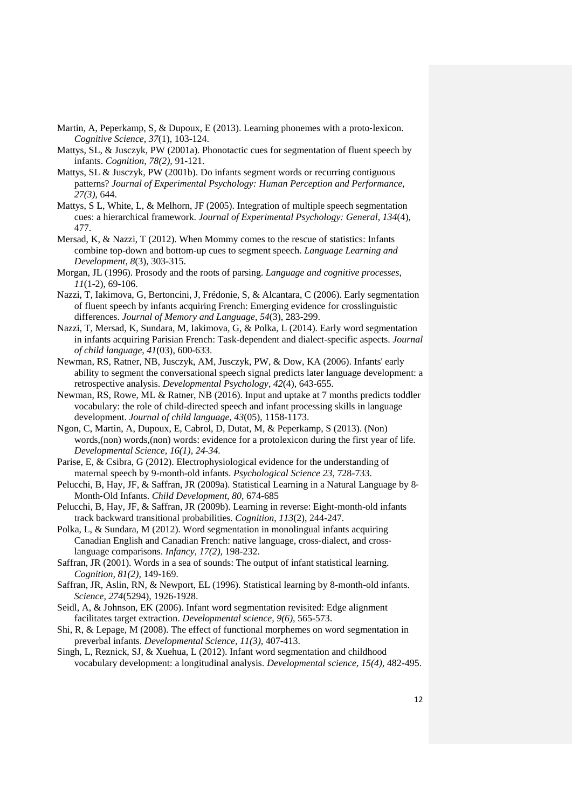- Martin, A, Peperkamp, S, & Dupoux, E (2013). Learning phonemes with a proto-lexicon. *Cognitive Science*, *37*(1), 103-124.
- Mattys, SL, & Jusczyk, PW (2001a). Phonotactic cues for segmentation of fluent speech by infants. *Cognition, 78(2),* 91-121.
- Mattys, SL & Jusczyk, PW (2001b). Do infants segment words or recurring contiguous patterns? *Journal of Experimental Psychology: Human Perception and Performance, 27(3)*, 644.
- Mattys, S L, White, L, & Melhorn, JF (2005). Integration of multiple speech segmentation cues: a hierarchical framework. *Journal of Experimental Psychology: General*, *134*(4), 477.
- Mersad, K, & Nazzi, T (2012). When Mommy comes to the rescue of statistics: Infants combine top-down and bottom-up cues to segment speech. *Language Learning and Development*, *8*(3), 303-315.
- Morgan, JL (1996). Prosody and the roots of parsing. *Language and cognitive processes*, *11*(1-2), 69-106.
- Nazzi, T, Iakimova, G, Bertoncini, J, Frédonie, S, & Alcantara, C (2006). Early segmentation of fluent speech by infants acquiring French: Emerging evidence for crosslinguistic differences. *Journal of Memory and Language*, *54*(3), 283-299.
- Nazzi, T, Mersad, K, Sundara, M, Iakimova, G, & Polka, L (2014). Early word segmentation in infants acquiring Parisian French: Task-dependent and dialect-specific aspects. *Journal of child language*, *41*(03), 600-633.
- Newman, RS, Ratner, NB, Jusczyk, AM, Jusczyk, PW, & Dow, KA (2006). Infants' early ability to segment the conversational speech signal predicts later language development: a retrospective analysis. *Developmental Psychology*, *42*(4), 643-655.
- Newman, RS, Rowe, ML & Ratner, NB (2016). Input and uptake at 7 months predicts toddler vocabulary: the role of child-directed speech and infant processing skills in language development. *Journal of child language*, *43*(05), 1158-1173.
- Ngon, C, Martin, A, Dupoux, E, Cabrol, D, Dutat, M, & Peperkamp, S (2013). (Non) words,(non) words,(non) words: evidence for a protolexicon during the first year of life. *Developmental Science, 16(1), 24-34.*
- Parise, E, & Csibra, G (2012). Electrophysiological evidence for the understanding of maternal speech by 9-month-old infants. *Psychological Science 23*, 728-733.
- Pelucchi, B, Hay, JF, & Saffran, JR (2009a). Statistical Learning in a Natural Language by 8‐ Month‐Old Infants. *Child Development*, *80*, 674-685
- Pelucchi, B, Hay, JF, & Saffran, JR (2009b). Learning in reverse: Eight-month-old infants track backward transitional probabilities. *Cognition*, *113*(2), 244-247.
- Polka, L, & Sundara, M (2012). Word segmentation in monolingual infants acquiring Canadian English and Canadian French: native language, cross-dialect, and crosslanguage comparisons. *Infancy, 17(2),* 198-232.
- Saffran, JR (2001). Words in a sea of sounds: The output of infant statistical learning. *Cognition, 81(2),* 149-169.
- Saffran, JR, Aslin, RN, & Newport, EL (1996). Statistical learning by 8-month-old infants. *Science*, *274*(5294), 1926-1928.
- Seidl, A, & Johnson, EK (2006). Infant word segmentation revisited: Edge alignment facilitates target extraction. *Developmental science, 9(6),* 565-573.
- Shi, R, & Lepage, M (2008). The effect of functional morphemes on word segmentation in preverbal infants. *Developmental Science, 11(3),* 407-413.
- Singh, L, Reznick, SJ, & Xuehua, L (2012). Infant word segmentation and childhood vocabulary development: a longitudinal analysis. *Developmental science, 15(4),* 482-495.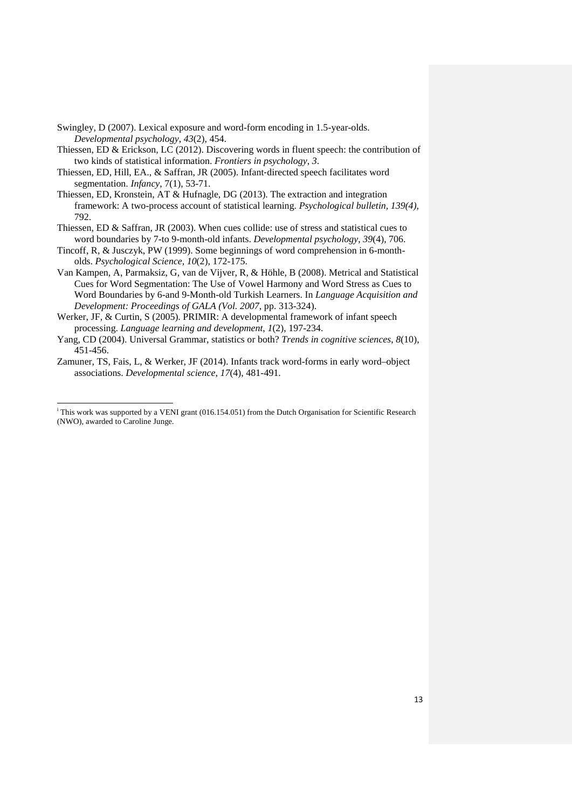Swingley, D (2007). Lexical exposure and word-form encoding in 1.5-year-olds. *Developmental psychology*, *43*(2), 454.

Thiessen, ED & Erickson, LC (2012). Discovering words in fluent speech: the contribution of two kinds of statistical information. *Frontiers in psychology*, *3*.

- Thiessen, ED, Hill, EA., & Saffran, JR (2005). Infant‐directed speech facilitates word segmentation. *Infancy*, 7(1), 53-71.
- Thiessen, ED, Kronstein, AT & Hufnagle, DG (2013). The extraction and integration framework: A two-process account of statistical learning. *Psychological bulletin, 139(4),* 792.

Thiessen, ED & Saffran, JR (2003). When cues collide: use of stress and statistical cues to word boundaries by 7-to 9-month-old infants. *Developmental psychology*, *39*(4), 706.

- Tincoff, R, & Jusczyk, PW (1999). Some beginnings of word comprehension in 6-montholds. *Psychological Science*, *10*(2), 172-175.
- Van Kampen, A, Parmaksiz, G, van de Vijver, R, & Höhle, B (2008). Metrical and Statistical Cues for Word Segmentation: The Use of Vowel Harmony and Word Stress as Cues to Word Boundaries by 6-and 9-Month-old Turkish Learners. In *Language Acquisition and Development: Proceedings of GALA (Vol. 2007*, pp. 313-324).

Werker, JF, & Curtin, S (2005). PRIMIR: A developmental framework of infant speech processing. *Language learning and development*, *1*(2), 197-234.

Yang, CD (2004). Universal Grammar, statistics or both? *Trends in cognitive sciences*, *8*(10), 451-456.

Zamuner, TS, Fais, L, & Werker, JF (2014). Infants track word-forms in early word–object associations. *Developmental science*, *17*(4), 481-491.

<span id="page-12-0"></span>i <sup>i</sup> This work was supported by a VENI grant (016.154.051) from the Dutch Organisation for Scientific Research (NWO), awarded to Caroline Junge.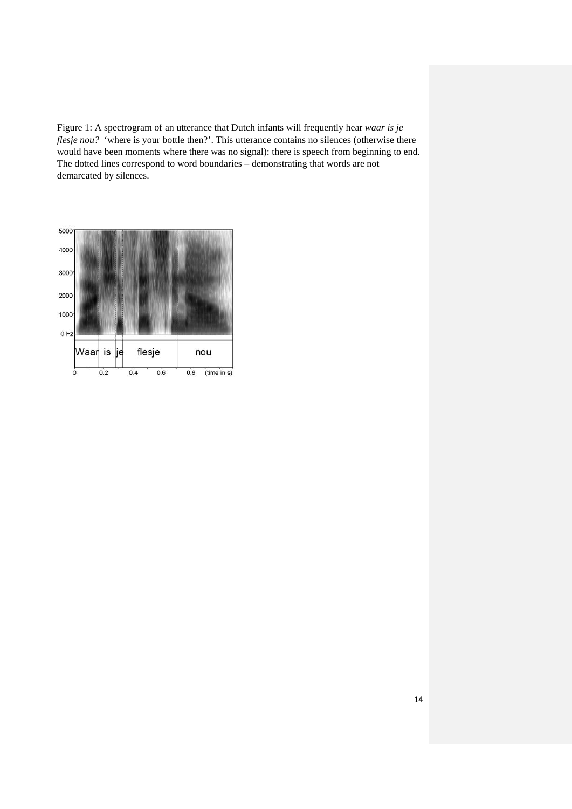Figure 1: A spectrogram of an utterance that Dutch infants will frequently hear *waar is je flesje nou?* 'where is your bottle then?'. This utterance contains no silences (otherwise there would have been moments where there was no signal): there is speech from beginning to end. The dotted lines correspond to word boundaries – demonstrating that words are not demarcated by silences.

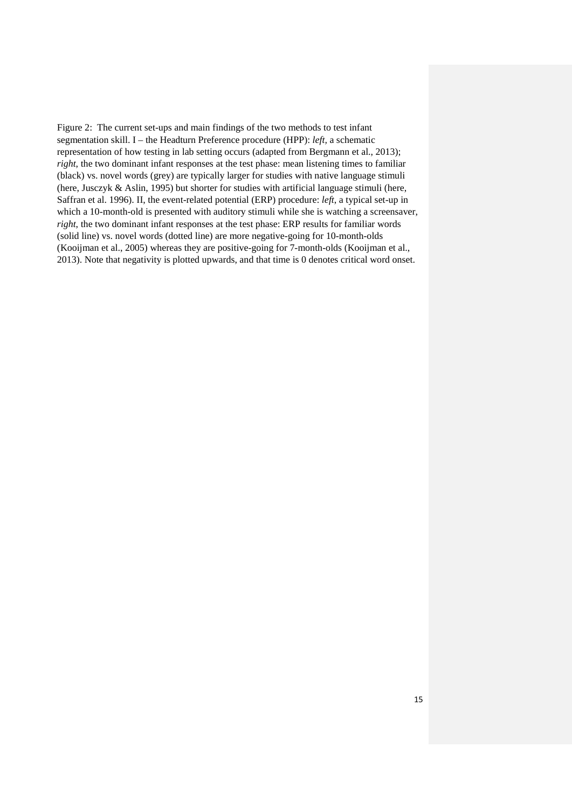Figure 2: The current set-ups and main findings of the two methods to test infant segmentation skill. I – the Headturn Preference procedure (HPP): *left,* a schematic representation of how testing in lab setting occurs (adapted from Bergmann et al., 2013); *right*, the two dominant infant responses at the test phase: mean listening times to familiar (black) vs. novel words (grey) are typically larger for studies with native language stimuli (here, Jusczyk & Aslin, 1995) but shorter for studies with artificial language stimuli (here, Saffran et al. 1996). II, the event-related potential (ERP) procedure: *left*, a typical set-up in which a 10-month-old is presented with auditory stimuli while she is watching a screensaver, *right*, the two dominant infant responses at the test phase: ERP results for familiar words (solid line) vs. novel words (dotted line) are more negative-going for 10-month-olds (Kooijman et al., 2005) whereas they are positive-going for 7-month-olds (Kooijman et al., 2013). Note that negativity is plotted upwards, and that time is 0 denotes critical word onset.